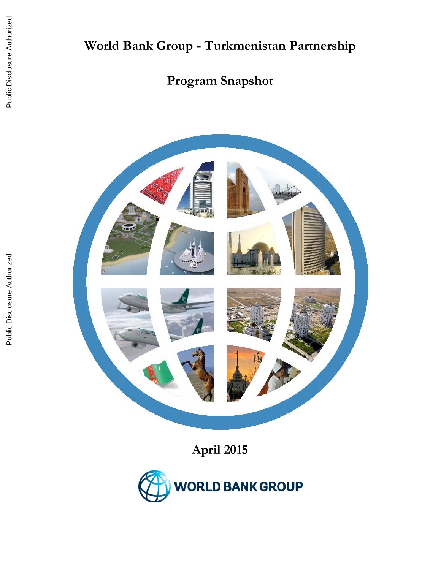# **World Bank Group - Turkmenistan Partnership**

# **Program Snapshot**



**April 2015** 

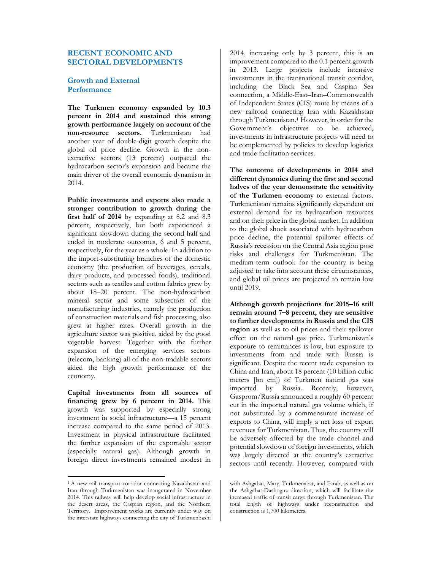## **RECENT ECONOMIC AND SECTORAL DEVELOPMENTS**

## **Growth and External Performance**

**The Turkmen economy expanded by 10.3 percent in 2014 and sustained this strong growth performance largely on account of the non-resource sectors.** Turkmenistan had another year of double-digit growth despite the global oil price decline. Growth in the nonextractive sectors (13 percent) outpaced the hydrocarbon sector's expansion and became the main driver of the overall economic dynamism in 2014.

**Public investments and exports also made a stronger contribution to growth during the first half of 2014** by expanding at 8.2 and 8.3 percent, respectively, but both experienced a significant slowdown during the second half and ended in moderate outcomes, 6 and 5 percent, respectively, for the year as a whole. In addition to the import-substituting branches of the domestic economy (the production of beverages, cereals, dairy products, and processed foods), traditional sectors such as textiles and cotton fabrics grew by about 18–20 percent. The non-hydrocarbon mineral sector and some subsectors of the manufacturing industries, namely the production of construction materials and fish processing, also grew at higher rates. Overall growth in the agriculture sector was positive, aided by the good vegetable harvest. Together with the further expansion of the emerging services sectors (telecom, banking) all of the non-tradable sectors aided the high growth performance of the economy.

**Capital investments from all sources of financing grew by 6 percent in 2014.** This growth was supported by especially strong investment in social infrastructure—a 15 percent increase compared to the same period of 2013. Investment in physical infrastructure facilitated the further expansion of the exportable sector (especially natural gas). Although growth in foreign direct investments remained modest in

2014, increasing only by 3 percent, this is an improvement compared to the 0.1 percent growth in 2013. Large projects include intensive investments in the transnational transit corridor, including the Black Sea and Caspian Sea connection, a Middle-East–Iran–Commonwealth of Independent States (CIS) route by means of a new railroad connecting Iran with Kazakhstan through Turkmenistan.1 However, in order for the Government's objectives to be achieved, investments in infrastructure projects will need to be complemented by policies to develop logistics and trade facilitation services.

**The outcome of developments in 2014 and different dynamics during the first and second halves of the year demonstrate the sensitivity of the Turkmen economy** to external factors. Turkmenistan remains significantly dependent on external demand for its hydrocarbon resources and on their price in the global market. In addition to the global shock associated with hydrocarbon price decline, the potential spillover effects of Russia's recession on the Central Asia region pose risks and challenges for Turkmenistan. The medium-term outlook for the country is being adjusted to take into account these circumstances, and global oil prices are projected to remain low until 2019.

**Although growth projections for 2015–16 still remain around 7–8 percent, they are sensitive to further developments in Russia and the CIS region** as well as to oil prices and their spillover effect on the natural gas price. Turkmenistan's exposure to remittances is low, but exposure to investments from and trade with Russia is significant. Despite the recent trade expansion to China and Iran, about 18 percent (10 billion cubic meters [bn cm]) of Turkmen natural gas was imported by Russia. Recently, however, Gasprom/Russia announced a roughly 60 percent cut in the imported natural gas volume which, if not substituted by a commensurate increase of exports to China, will imply a net loss of export revenues for Turkmenistan. Thus, the country will be adversely affected by the trade channel and potential slowdown of foreign investments, which was largely directed at the country's extractive sectors until recently. However, compared with

<sup>1</sup> A new rail transport corridor connecting Kazakhstan and Iran through Turkmenistan was inaugurated in November 2014. This railway will help develop social infrastructure in the desert areas, the Caspian region, and the Northern Territory. Improvement works are currently under way on the interstate highways connecting the city of Turkmenbashi

with Ashgabat, Mary, Turkmenabat, and Farab, as well as on the Ashgabat-Dashoguz direction, which will facilitate the increased traffic of transit cargo through Turkmenistan. The total length of highways under reconstruction and construction is 1,700 kilometers.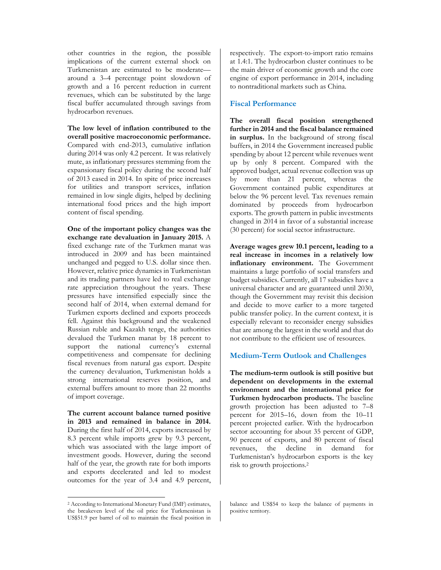other countries in the region, the possible implications of the current external shock on Turkmenistan are estimated to be moderate around a 3–4 percentage point slowdown of growth and a 16 percent reduction in current revenues, which can be substituted by the large fiscal buffer accumulated through savings from hydrocarbon revenues.

**The low level of inflation contributed to the overall positive macroeconomic performance.**  Compared with end-2013, cumulative inflation during 2014 was only 4.2 percent. It was relatively mute, as inflationary pressures stemming from the expansionary fiscal policy during the second half of 2013 eased in 2014. In spite of price increases for utilities and transport services, inflation remained in low single digits, helped by declining international food prices and the high import content of fiscal spending.

**One of the important policy changes was the exchange rate devaluation in January 2015.** A fixed exchange rate of the Turkmen manat was introduced in 2009 and has been maintained unchanged and pegged to U.S. dollar since then. However, relative price dynamics in Turkmenistan and its trading partners have led to real exchange rate appreciation throughout the years. These pressures have intensified especially since the second half of 2014, when external demand for Turkmen exports declined and exports proceeds fell. Against this background and the weakened Russian ruble and Kazakh tenge, the authorities devalued the Turkmen manat by 18 percent to support the national currency's external competitiveness and compensate for declining fiscal revenues from natural gas export. Despite the currency devaluation, Turkmenistan holds a strong international reserves position, and external buffers amount to more than 22 months of import coverage.

**The current account balance turned positive in 2013 and remained in balance in 2014.**  During the first half of 2014, exports increased by 8.3 percent while imports grew by 9.3 percent, which was associated with the large import of investment goods. However, during the second half of the year, the growth rate for both imports and exports decelerated and led to modest outcomes for the year of 3.4 and 4.9 percent,

respectively. The export-to-import ratio remains at 1.4:1. The hydrocarbon cluster continues to be the main driver of economic growth and the core engine of export performance in 2014, including to nontraditional markets such as China.

## **Fiscal Performance**

**The overall fiscal position strengthened further in 2014 and the fiscal balance remained in surplus.** In the background of strong fiscal buffers, in 2014 the Government increased public spending by about 12 percent while revenues went up by only 8 percent. Compared with the approved budget, actual revenue collection was up by more than 21 percent, whereas the Government contained public expenditures at below the 96 percent level. Tax revenues remain dominated by proceeds from hydrocarbon exports. The growth pattern in public investments changed in 2014 in favor of a substantial increase (30 percent) for social sector infrastructure.

**Average wages grew 10.1 percent, leading to a real increase in incomes in a relatively low inflationary environment.** The Government maintains a large portfolio of social transfers and budget subsidies. Currently, all 17 subsidies have a universal character and are guaranteed until 2030, though the Government may revisit this decision and decide to move earlier to a more targeted public transfer policy. In the current context, it is especially relevant to reconsider energy subsidies that are among the largest in the world and that do not contribute to the efficient use of resources.

#### **Medium-Term Outlook and Challenges**

**The medium-term outlook is still positive but dependent on developments in the external environment and the international price for Turkmen hydrocarbon products.** The baseline growth projection has been adjusted to 7–8 percent for 2015–16, down from the 10–11 percent projected earlier. With the hydrocarbon sector accounting for about 35 percent of GDP, 90 percent of exports, and 80 percent of fiscal revenues, the decline in demand for Turkmenistan's hydrocarbon exports is the key risk to growth projections.2

<sup>2</sup> According to International Monetary Fund (IMF) estimates, the breakeven level of the oil price for Turkmenistan is US\$51.9 per barrel of oil to maintain the fiscal position in

balance and US\$54 to keep the balance of payments in positive territory.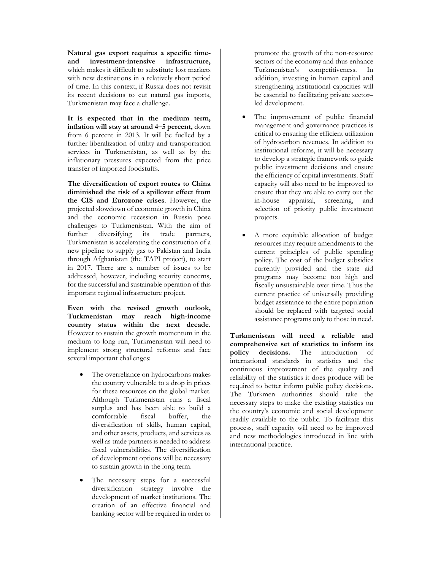**Natural gas export requires a specific timeand investment-intensive infrastructure,** which makes it difficult to substitute lost markets with new destinations in a relatively short period of time. In this context, if Russia does not revisit its recent decisions to cut natural gas imports, Turkmenistan may face a challenge.

**It is expected that in the medium term, inflation will stay at around 4–5 percent,** down from 6 percent in 2013. It will be fuelled by a further liberalization of utility and transportation services in Turkmenistan, as well as by the inflationary pressures expected from the price transfer of imported foodstuffs.

**The diversification of export routes to China diminished the risk of a spillover effect from the CIS and Eurozone crises**. However, the projected slowdown of economic growth in China and the economic recession in Russia pose challenges to Turkmenistan. With the aim of further diversifying its trade partners, Turkmenistan is accelerating the construction of a new pipeline to supply gas to Pakistan and India through Afghanistan (the TAPI project), to start in 2017. There are a number of issues to be addressed, however, including security concerns, for the successful and sustainable operation of this important regional infrastructure project.

**Even with the revised growth outlook, Turkmenistan may reach high-income country status within the next decade.**  However to sustain the growth momentum in the medium to long run, Turkmenistan will need to implement strong structural reforms and face several important challenges:

- The overreliance on hydrocarbons makes the country vulnerable to a drop in prices for these resources on the global market. Although Turkmenistan runs a fiscal surplus and has been able to build a comfortable fiscal buffer, the diversification of skills, human capital, and other assets, products, and services as well as trade partners is needed to address fiscal vulnerabilities. The diversification of development options will be necessary to sustain growth in the long term.
- The necessary steps for a successful diversification strategy involve the development of market institutions. The creation of an effective financial and banking sector will be required in order to

promote the growth of the non-resource sectors of the economy and thus enhance Turkmenistan's competitiveness. In addition, investing in human capital and strengthening institutional capacities will be essential to facilitating private sector– led development.

- The improvement of public financial management and governance practices is critical to ensuring the efficient utilization of hydrocarbon revenues. In addition to institutional reforms, it will be necessary to develop a strategic framework to guide public investment decisions and ensure the efficiency of capital investments. Staff capacity will also need to be improved to ensure that they are able to carry out the in-house appraisal, screening, and selection of priority public investment projects.
- A more equitable allocation of budget resources may require amendments to the current principles of public spending policy. The cost of the budget subsidies currently provided and the state aid programs may become too high and fiscally unsustainable over time. Thus the current practice of universally providing budget assistance to the entire population should be replaced with targeted social assistance programs only to those in need.

**Turkmenistan will need a reliable and comprehensive set of statistics to inform its policy decisions.** The introduction of international standards in statistics and the continuous improvement of the quality and reliability of the statistics it does produce will be required to better inform public policy decisions. The Turkmen authorities should take the necessary steps to make the existing statistics on the country's economic and social development readily available to the public. To facilitate this process, staff capacity will need to be improved and new methodologies introduced in line with international practice.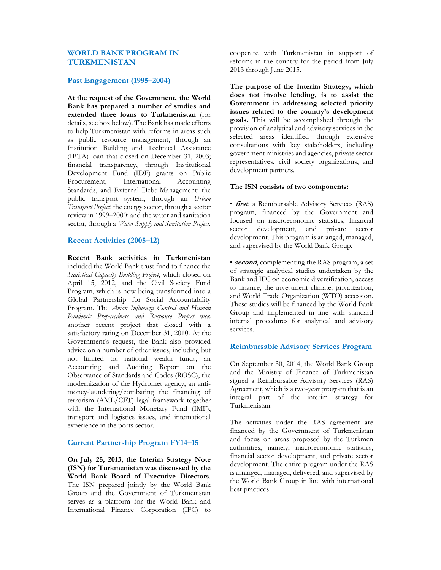## **WORLD BANK PROGRAM IN TURKMENISTAN**

## **Past Engagement (1995–2004)**

**At the request of the Government, the World Bank has prepared a number of studies and extended three loans to Turkmenistan** (for details, see box below). The Bank has made efforts to help Turkmenistan with reforms in areas such as public resource management, through an Institution Building and Technical Assistance (IBTA) loan that closed on December 31, 2003; financial transparency, through Institutional Development Fund (IDF) grants on Public Procurement, International Accounting Standards, and External Debt Management; the public transport system, through an *Urban Transport Project*; the energy sector, through a sector review in 1999–2000; and the water and sanitation sector, through a *Water Supply and Sanitation Project*.

#### **Recent Activities (2005–12)**

**Recent Bank activities in Turkmenistan** included the World Bank trust fund to finance the *Statistical Capacity Building Project*, which closed on April 15, 2012, and the Civil Society Fund Program, which is now being transformed into a Global Partnership for Social Accountability Program. The *Avian Influenza Control and Human Pandemic Preparedness and Response Project* was another recent project that closed with a satisfactory rating on December 31, 2010. At the Government's request, the Bank also provided advice on a number of other issues, including but not limited to, national wealth funds, an Accounting and Auditing Report on the Observance of Standards and Codes (ROSC), the modernization of the Hydromet agency, an antimoney-laundering/combating the financing of terrorism (AML/CFT) legal framework together with the International Monetary Fund (IMF), transport and logistics issues, and international experience in the ports sector.

#### **Current Partnership Program FY14–15**

**On July 25, 2013, the Interim Strategy Note (ISN) for Turkmenistan was discussed by the World Bank Board of Executive Directors**. The ISN prepared jointly by the World Bank Group and the Government of Turkmenistan serves as a platform for the World Bank and International Finance Corporation (IFC) to cooperate with Turkmenistan in support of reforms in the country for the period from July 2013 through June 2015.

**The purpose of the Interim Strategy, which does not involve lending, is to assist the Government in addressing selected priority issues related to the country's development goals.** This will be accomplished through the provision of analytical and advisory services in the selected areas identified through extensive consultations with key stakeholders, including government ministries and agencies, private sector representatives, civil society organizations, and development partners.

#### **The ISN consists of two components:**

• **first**, a Reimbursable Advisory Services (RAS) program, financed by the Government and focused on macroeconomic statistics, financial sector development, and private sector development. This program is arranged, managed, and supervised by the World Bank Group.

• **second**, complementing the RAS program, a set of strategic analytical studies undertaken by the Bank and IFC on economic diversification, access to finance, the investment climate, privatization, and World Trade Organization (WTO) accession. These studies will be financed by the World Bank Group and implemented in line with standard internal procedures for analytical and advisory services.

## **Reimbursable Advisory Services Program**

On September 30, 2014, the World Bank Group and the Ministry of Finance of Turkmenistan signed a Reimbursable Advisory Services (RAS) Agreement, which is a two-year program that is an integral part of the interim strategy for Turkmenistan.

The activities under the RAS agreement are financed by the Government of Turkmenistan and focus on areas proposed by the Turkmen authorities, namely, macroeconomic statistics, financial sector development, and private sector development. The entire program under the RAS is arranged, managed, delivered, and supervised by the World Bank Group in line with international best practices.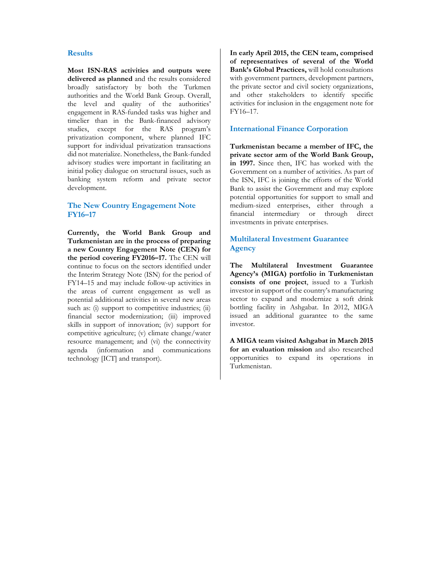#### **Results**

**Most ISN-RAS activities and outputs were delivered as planned** and the results considered broadly satisfactory by both the Turkmen authorities and the World Bank Group. Overall, the level and quality of the authorities' engagement in RAS-funded tasks was higher and timelier than in the Bank-financed advisory studies, except for the RAS program's privatization component, where planned IFC support for individual privatization transactions did not materialize. Nonetheless, the Bank-funded advisory studies were important in facilitating an initial policy dialogue on structural issues, such as banking system reform and private sector development.

## **The New Country Engagement Note FY16–17**

**Currently, the World Bank Group and Turkmenistan are in the process of preparing a new Country Engagement Note (CEN) for the period covering FY2016–17.** The CEN will continue to focus on the sectors identified under the Interim Strategy Note (ISN) for the period of FY14–15 and may include follow-up activities in the areas of current engagement as well as potential additional activities in several new areas such as: (i) support to competitive industries; (ii) financial sector modernization; (iii) improved skills in support of innovation; (iv) support for competitive agriculture; (v) climate change/water resource management; and (vi) the connectivity agenda (information and communications technology [ICT] and transport).

**In early April 2015, the CEN team, comprised of representatives of several of the World Bank's Global Practices,** will hold consultations with government partners, development partners, the private sector and civil society organizations, and other stakeholders to identify specific activities for inclusion in the engagement note for FY16–17.

#### **International Finance Corporation**

**Turkmenistan became a member of IFC, the private sector arm of the World Bank Group, in 1997.** Since then, IFC has worked with the Government on a number of activities. As part of the ISN, IFC is joining the efforts of the World Bank to assist the Government and may explore potential opportunities for support to small and medium-sized enterprises, either through a financial intermediary or through direct investments in private enterprises.

## **Multilateral Investment Guarantee Agency**

**The Multilateral Investment Guarantee Agency's (MIGA) portfolio in Turkmenistan consists of one project**, issued to a Turkish investor in support of the country's manufacturing sector to expand and modernize a soft drink bottling facility in Ashgabat. In 2012, MIGA issued an additional guarantee to the same investor.

**A MIGA team visited Ashgabat in March 2015 for an evaluation mission** and also researched opportunities to expand its operations in Turkmenistan.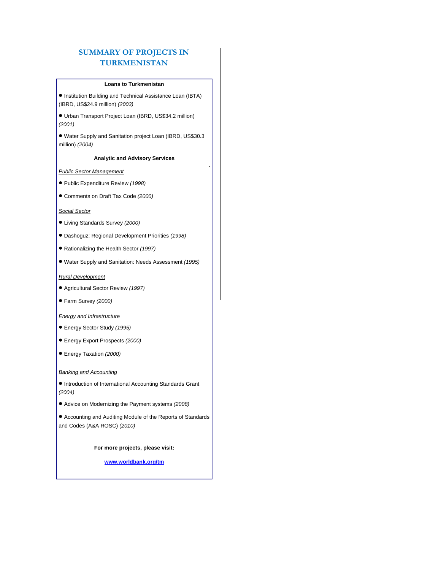## **SUMMARY OF PROJECTS IN TURKMENISTAN**

#### **Loans to Turkmenistan**

 Institution Building and Technical Assistance Loan (IBTA) (IBRD, US\$24.9 million) *(2003)*

 Urban Transport Project Loan (IBRD, US\$34.2 million) *(2001)*

 Water Supply and Sanitation project Loan (IBRD, US\$30.3 million) *(2004)*

#### **Analytic and Advisory Services**

#### *Public Sector Management*

- Public Expenditure Review *(1998)*
- Comments on Draft Tax Code *(2000)*

#### *Social Sector*

- Living Standards Survey *(2000)*
- Dashoguz: Regional Development Priorities *(1998)*
- Rationalizing the Health Sector *(1997)*
- Water Supply and Sanitation: Needs Assessment *(1995)*

#### *Rural Development*

- Agricultural Sector Review *(1997)*
- Farm Survey *(2000)*

#### *Energy and Infrastructure*

- Energy Sector Study *(1995)*
- Energy Export Prospects *(2000)*
- Energy Taxation *(2000)*

#### *Banking and Accounting*

- $\bullet$  Introduction of International Accounting Standards Grant *(2004)*
- Advice on Modernizing the Payment systems *(2008)*
- Accounting and Auditing Module of the Reports of Standards and Codes (A&A ROSC) *(2010)*

**For more projects, please visit:** 

**www.worldbank.org/tm**